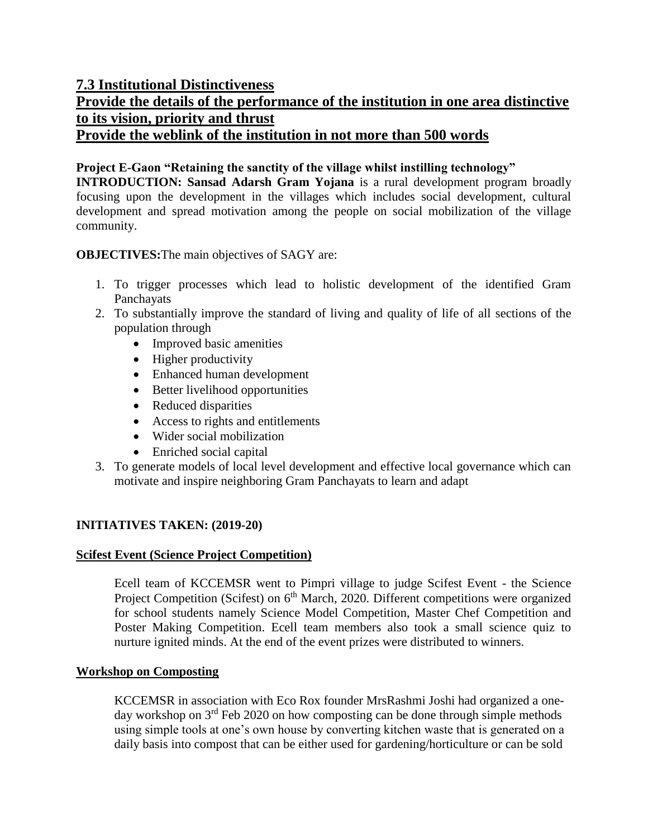# **7.3 Institutional Distinctiveness**

# **Provide the details of the performance of the institution in one area distinctive to its vision, priority and thrust**

**Provide the weblink of the institution in not more than 500 words**

## **Project E-Gaon "Retaining the sanctity of the village whilst instilling technology"**

**INTRODUCTION: Sansad Adarsh Gram Yojana** is a rural development program broadly focusing upon the development in the villages which includes social development, cultural development and spread motivation among the people on social mobilization of the village community.

**OBJECTIVES:**The main objectives of SAGY are:

- 1. To trigger processes which lead to holistic development of the identified Gram Panchayats
- 2. To substantially improve the standard of living and quality of life of all sections of the population through
	- Improved basic amenities
	- Higher productivity
	- Enhanced human development
	- Better livelihood opportunities
	- Reduced disparities
	- Access to rights and entitlements
	- Wider social mobilization
	- Enriched social capital
- 3. To generate models of local level development and effective local governance which can motivate and inspire neighboring Gram Panchayats to learn and adapt

#### **INITIATIVES TAKEN: (2019-20)**

#### **Scifest Event (Science Project Competition)**

Ecell team of KCCEMSR went to Pimpri village to judge Scifest Event - the Science Project Competition (Scifest) on 6<sup>th</sup> March, 2020. Different competitions were organized for school students namely Science Model Competition, Master Chef Competition and Poster Making Competition. Ecell team members also took a small science quiz to nurture ignited minds. At the end of the event prizes were distributed to winners.

#### **Workshop on Composting**

KCCEMSR in association with Eco Rox founder MrsRashmi Joshi had organized a oneday workshop on 3<sup>rd</sup> Feb 2020 on how composting can be done through simple methods using simple tools at one's own house by converting kitchen waste that is generated on a daily basis into compost that can be either used for gardening/horticulture or can be sold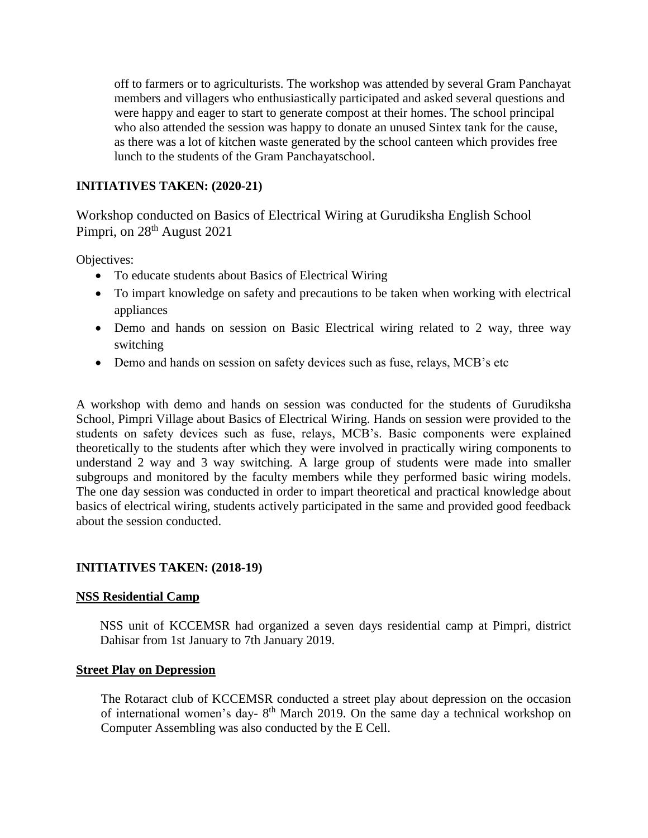off to farmers or to agriculturists. The workshop was attended by several Gram Panchayat members and villagers who enthusiastically participated and asked several questions and were happy and eager to start to generate compost at their homes. The school principal who also attended the session was happy to donate an unused Sintex tank for the cause, as there was a lot of kitchen waste generated by the school canteen which provides free lunch to the students of the Gram Panchayatschool.

### **INITIATIVES TAKEN: (2020-21)**

Workshop conducted on Basics of Electrical Wiring at Gurudiksha English School Pimpri, on 28<sup>th</sup> August 2021

Objectives:

- To educate students about Basics of Electrical Wiring
- To impart knowledge on safety and precautions to be taken when working with electrical appliances
- Demo and hands on session on Basic Electrical wiring related to 2 way, three way switching
- Demo and hands on session on safety devices such as fuse, relays, MCB's etc

A workshop with demo and hands on session was conducted for the students of Gurudiksha School, Pimpri Village about Basics of Electrical Wiring. Hands on session were provided to the students on safety devices such as fuse, relays, MCB's. Basic components were explained theoretically to the students after which they were involved in practically wiring components to understand 2 way and 3 way switching. A large group of students were made into smaller subgroups and monitored by the faculty members while they performed basic wiring models. The one day session was conducted in order to impart theoretical and practical knowledge about basics of electrical wiring, students actively participated in the same and provided good feedback about the session conducted.

#### **INITIATIVES TAKEN: (2018-19)**

#### **NSS Residential Camp**

NSS unit of KCCEMSR had organized a seven days residential camp at Pimpri, district Dahisar from 1st January to 7th January 2019.

#### **Street Play on Depression**

The Rotaract club of KCCEMSR conducted a street play about depression on the occasion of international women's day-8<sup>th</sup> March 2019. On the same day a technical workshop on Computer Assembling was also conducted by the E Cell.